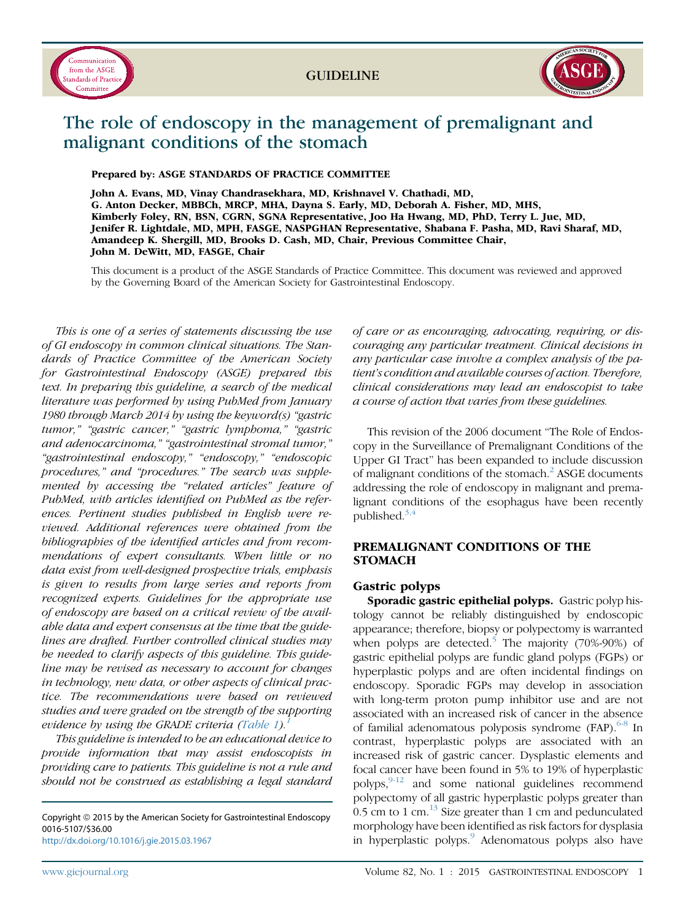



# The role of endoscopy in the management of premalignant and malignant conditions of the stomach

Prepared by: ASGE STANDARDS OF PRACTICE COMMITTEE

John A. Evans, MD, Vinay Chandrasekhara, MD, Krishnavel V. Chathadi, MD, G. Anton Decker, MBBCh, MRCP, MHA, Dayna S. Early, MD, Deborah A. Fisher, MD, MHS, Kimberly Foley, RN, BSN, CGRN, SGNA Representative, Joo Ha Hwang, MD, PhD, Terry L. Jue, MD, Jenifer R. Lightdale, MD, MPH, FASGE, NASPGHAN Representative, Shabana F. Pasha, MD, Ravi Sharaf, MD, Amandeep K. Shergill, MD, Brooks D. Cash, MD, Chair, Previous Committee Chair, John M. DeWitt, MD, FASGE, Chair

This document is a product of the ASGE Standards of Practice Committee. This document was reviewed and approved by the Governing Board of the American Society for Gastrointestinal Endoscopy.

This is one of a series of statements discussing the use of GI endoscopy in common clinical situations. The Standards of Practice Committee of the American Society for Gastrointestinal Endoscopy (ASGE) prepared this text. In preparing this guideline, a search of the medical literature was performed by using PubMed from January 1980 through March 2014 by using the keyword(s) "gastric tumor," "gastric cancer," "gastric lymphoma," "gastric and adenocarcinoma," "gastrointestinal stromal tumor," "gastrointestinal endoscopy," "endoscopy," "endoscopic procedures," and "procedures." The search was supplemented by accessing the "related articles" feature of PubMed, with articles identified on PubMed as the references. Pertinent studies published in English were reviewed. Additional references were obtained from the bibliographies of the identified articles and from recommendations of expert consultants. When little or no data exist from well-designed prospective trials, emphasis is given to results from large series and reports from recognized experts. Guidelines for the appropriate use of endoscopy are based on a critical review of the available data and expert consensus at the time that the guidelines are drafted. Further controlled clinical studies may be needed to clarify aspects of this guideline. This guideline may be revised as necessary to account for changes in technology, new data, or other aspects of clinical practice. The recommendations were based on reviewed studies and were graded on the strength of the supporting evidence by using the GRADE criteria ([Table 1\)](#page-1-0).<sup>[1](#page-5-0)</sup>

This guideline is intended to be an educational device to provide information that may assist endoscopists in providing care to patients. This guideline is not a rule and should not be construed as establishing a legal standard

Copyright © 2015 by the American Society for Gastrointestinal Endoscopy 0016-5107/\$36.00 <http://dx.doi.org/10.1016/j.gie.2015.03.1967>

of care or as encouraging, advocating, requiring, or discouraging any particular treatment. Clinical decisions in any particular case involve a complex analysis of the patient's condition and available courses of action. Therefore, clinical considerations may lead an endoscopist to take a course of action that varies from these guidelines.

This revision of the 2006 document "The Role of Endoscopy in the Surveillance of Premalignant Conditions of the Upper GI Tract" has been expanded to include discussion of malignant conditions of the stomach.<sup>[2](#page-5-0)</sup> ASGE documents addressing the role of endoscopy in malignant and premalignant conditions of the esophagus have been recently published. $3,4$ 

# PREMALIGNANT CONDITIONS OF THE **STOMACH**

#### Gastric polyps

Sporadic gastric epithelial polyps. Gastric polyp histology cannot be reliably distinguished by endoscopic appearance; therefore, biopsy or polypectomy is warranted when polyps are detected.<sup>[5](#page-5-0)</sup> The majority (70%-90%) of gastric epithelial polyps are fundic gland polyps (FGPs) or hyperplastic polyps and are often incidental findings on endoscopy. Sporadic FGPs may develop in association with long-term proton pump inhibitor use and are not associated with an increased risk of cancer in the absence of familial adenomatous polyposis syndrome (FAP). $6-8$  In contrast, hyperplastic polyps are associated with an increased risk of gastric cancer. Dysplastic elements and focal cancer have been found in 5% to 19% of hyperplastic polyps, $9-12$  and some national guidelines recommend polypectomy of all gastric hyperplastic polyps greater than 0.5 cm to 1 cm. $^{13}$  $^{13}$  $^{13}$  Size greater than 1 cm and pedunculated morphology have been identified as risk factors for dysplasia in hyperplastic polyps. $\degree$  Adenomatous polyps also have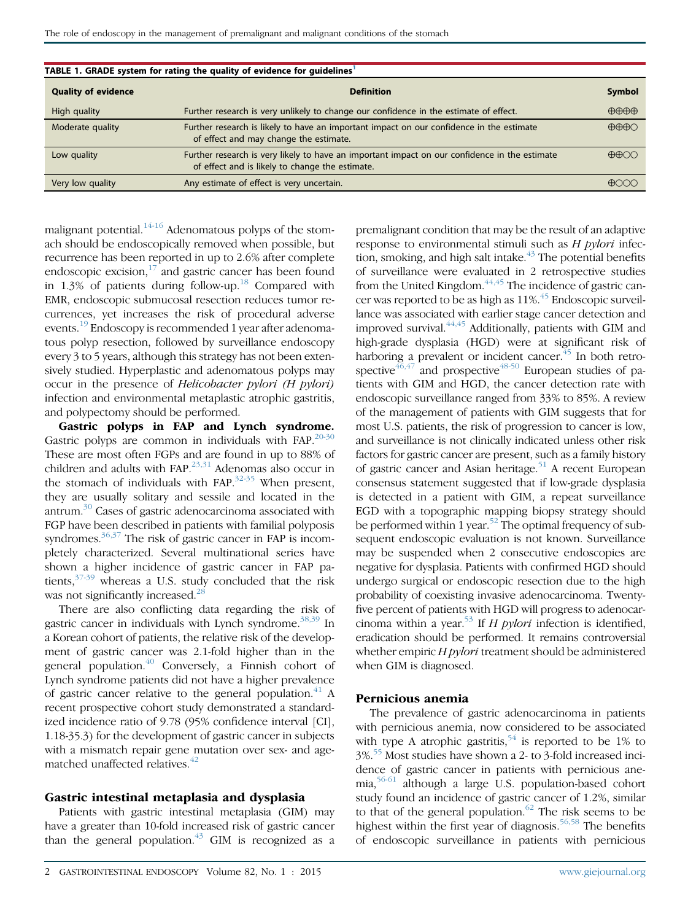<span id="page-1-0"></span>

| TABLE 1. GRADE system for rating the quality of evidence for guidelines <sup>1</sup> |                                                                                                                                                  |                               |
|--------------------------------------------------------------------------------------|--------------------------------------------------------------------------------------------------------------------------------------------------|-------------------------------|
| <b>Quality of evidence</b>                                                           | <b>Definition</b>                                                                                                                                | <b>Symbol</b>                 |
| High quality                                                                         | Further research is very unlikely to change our confidence in the estimate of effect.                                                            | $\bigoplus\bigoplus\bigoplus$ |
| Moderate quality                                                                     | Further research is likely to have an important impact on our confidence in the estimate<br>of effect and may change the estimate.               | $\bigoplus\bigoplus\bigodot$  |
| Low quality                                                                          | Further research is very likely to have an important impact on our confidence in the estimate<br>of effect and is likely to change the estimate. | $\bigoplus$                   |
| Very low quality                                                                     | Any estimate of effect is very uncertain.                                                                                                        | $\bigoplus$                   |
|                                                                                      |                                                                                                                                                  |                               |

malignant potential. $14-16$  Adenomatous polyps of the stomach should be endoscopically removed when possible, but recurrence has been reported in up to 2.6% after complete endoscopic excision, $17$  and gastric cancer has been found in 1.3% of patients during follow-up.<sup>[18](#page-5-0)</sup> Compared with EMR, endoscopic submucosal resection reduces tumor recurrences, yet increases the risk of procedural adverse events.<sup>[19](#page-5-0)</sup> Endoscopy is recommended 1 year after adenomatous polyp resection, followed by surveillance endoscopy every 3 to 5 years, although this strategy has not been extensively studied. Hyperplastic and adenomatous polyps may occur in the presence of Helicobacter pylori (H pylori) infection and environmental metaplastic atrophic gastritis, and polypectomy should be performed.

Gastric polyps in FAP and Lynch syndrome. Gastric polyps are common in individuals with FAP.<sup>[20-30](#page-5-0)</sup> These are most often FGPs and are found in up to 88% of children and adults with FAP.<sup>[23,31](#page-5-0)</sup> Adenomas also occur in the stomach of individuals with FAP. $32-35$  When present, they are usually solitary and sessile and located in the antrum.[30](#page-5-0) Cases of gastric adenocarcinoma associated with FGP have been described in patients with familial polyposis syndromes. $36,37$  The risk of gastric cancer in FAP is incompletely characterized. Several multinational series have shown a higher incidence of gastric cancer in FAP patients, $37-39$  whereas a U.S. study concluded that the risk was not significantly increased.<sup>[28](#page-5-0)</sup>

There are also conflicting data regarding the risk of gastric cancer in individuals with Lynch syndrome.<sup>[38,39](#page-5-0)</sup> In a Korean cohort of patients, the relative risk of the development of gastric cancer was 2.1-fold higher than in the general population. $40$  Conversely, a Finnish cohort of Lynch syndrome patients did not have a higher prevalence of gastric cancer relative to the general population.<sup>[41](#page-5-0)</sup> A recent prospective cohort study demonstrated a standardized incidence ratio of 9.78 (95% confidence interval [CI], 1.18-35.3) for the development of gastric cancer in subjects with a mismatch repair gene mutation over sex- and age-matched unaffected relatives.<sup>[42](#page-5-0)</sup>

#### Gastric intestinal metaplasia and dysplasia

Patients with gastric intestinal metaplasia (GIM) may have a greater than 10-fold increased risk of gastric cancer than the general population. $43$  GIM is recognized as a

premalignant condition that may be the result of an adaptive response to environmental stimuli such as  $H$  pylori infection, smoking, and high salt intake. $^{43}$  $^{43}$  $^{43}$  The potential benefits of surveillance were evaluated in 2 retrospective studies from the United Kingdom.  $44,45$  The incidence of gastric cancer was reported to be as high as 11%.<sup>45</sup> Endoscopic surveillance was associated with earlier stage cancer detection and improved survival. $44,45$  Additionally, patients with GIM and high-grade dysplasia (HGD) were at significant risk of harboring a prevalent or incident cancer.<sup>[45](#page-6-0)</sup> In both retro-spective<sup>46,47</sup> and prospective<sup>[48-50](#page-6-0)</sup> European studies of patients with GIM and HGD, the cancer detection rate with endoscopic surveillance ranged from 33% to 85%. A review of the management of patients with GIM suggests that for most U.S. patients, the risk of progression to cancer is low, and surveillance is not clinically indicated unless other risk factors for gastric cancer are present, such as a family history of gastric cancer and Asian heritage.<sup>[51](#page-6-0)</sup> A recent European consensus statement suggested that if low-grade dysplasia is detected in a patient with GIM, a repeat surveillance EGD with a topographic mapping biopsy strategy should be performed within 1 year.<sup>52</sup> The optimal frequency of subsequent endoscopic evaluation is not known. Surveillance may be suspended when 2 consecutive endoscopies are negative for dysplasia. Patients with confirmed HGD should undergo surgical or endoscopic resection due to the high probability of coexisting invasive adenocarcinoma. Twentyfive percent of patients with HGD will progress to adenocarcinoma within a year.<sup>53</sup> If H pylori infection is identified, eradication should be performed. It remains controversial whether empiric H pylori treatment should be administered when GIM is diagnosed.

### Pernicious anemia

The prevalence of gastric adenocarcinoma in patients with pernicious anemia, now considered to be associated with type A atrophic gastritis,<sup>[54](#page-6-0)</sup> is reported to be 1% to 3%.[55](#page-6-0) Most studies have shown a 2- to 3-fold increased incidence of gastric cancer in patients with pernicious anemia,[56-61](#page-6-0) although a large U.S. population-based cohort study found an incidence of gastric cancer of 1.2%, similar to that of the general population. $62$  The risk seems to be highest within the first year of diagnosis.<sup>[56,58](#page-6-0)</sup> The benefits of endoscopic surveillance in patients with pernicious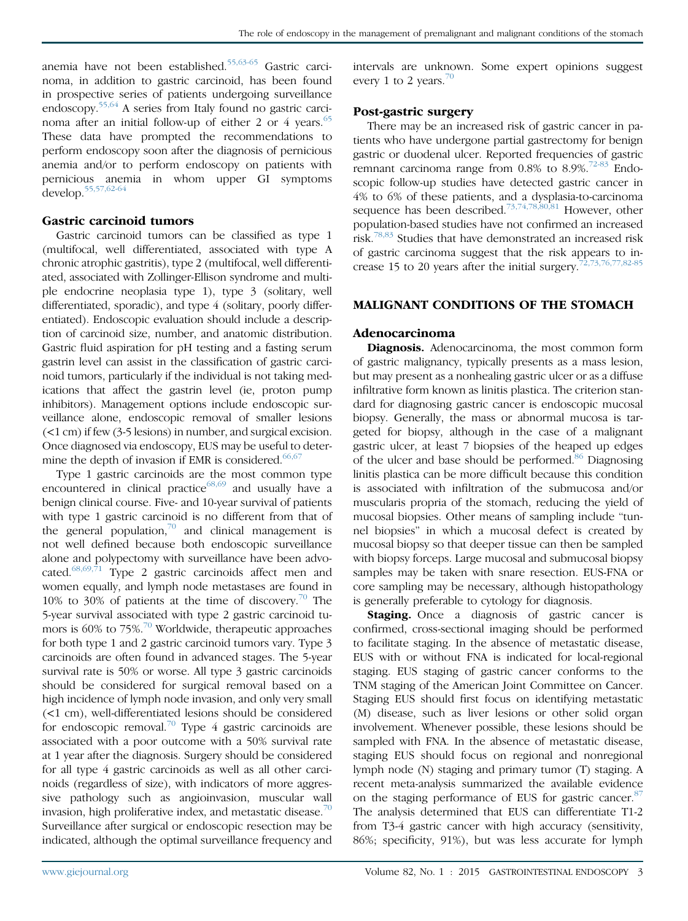anemia have not been established.<sup>[55,63-65](#page-6-0)</sup> Gastric carcinoma, in addition to gastric carcinoid, has been found in prospective series of patients undergoing surveillance endoscopy.[55,64](#page-6-0) A series from Italy found no gastric carci-noma after an initial follow-up of either 2 or 4 years.<sup>[65](#page-6-0)</sup> These data have prompted the recommendations to perform endoscopy soon after the diagnosis of pernicious anemia and/or to perform endoscopy on patients with pernicious anemia in whom upper GI symptoms develop.[55,57,62-64](#page-6-0)

#### Gastric carcinoid tumors

Gastric carcinoid tumors can be classified as type 1 (multifocal, well differentiated, associated with type A chronic atrophic gastritis), type 2 (multifocal, well differentiated, associated with Zollinger-Ellison syndrome and multiple endocrine neoplasia type 1), type 3 (solitary, well differentiated, sporadic), and type 4 (solitary, poorly differentiated). Endoscopic evaluation should include a description of carcinoid size, number, and anatomic distribution. Gastric fluid aspiration for pH testing and a fasting serum gastrin level can assist in the classification of gastric carcinoid tumors, particularly if the individual is not taking medications that affect the gastrin level (ie, proton pump inhibitors). Management options include endoscopic surveillance alone, endoscopic removal of smaller lesions (<1 cm) if few (3-5 lesions) in number, and surgical excision. Once diagnosed via endoscopy, EUS may be useful to determine the depth of invasion if EMR is considered. $66,67$ 

Type 1 gastric carcinoids are the most common type encountered in clinical practice<sup>[68,69](#page-6-0)</sup> and usually have a benign clinical course. Five- and 10-year survival of patients with type 1 gastric carcinoid is no different from that of the general population, $70$  and clinical management is not well defined because both endoscopic surveillance alone and polypectomy with surveillance have been advocated.[68,69,71](#page-6-0) Type 2 gastric carcinoids affect men and women equally, and lymph node metastases are found in 10% to 30% of patients at the time of discovery.[70](#page-6-0) The 5-year survival associated with type 2 gastric carcinoid tumors is 60% to 75%.[70](#page-6-0) Worldwide, therapeutic approaches for both type 1 and 2 gastric carcinoid tumors vary. Type 3 carcinoids are often found in advanced stages. The 5-year survival rate is 50% or worse. All type 3 gastric carcinoids should be considered for surgical removal based on a high incidence of lymph node invasion, and only very small (<1 cm), well-differentiated lesions should be considered for endoscopic removal.<sup>[70](#page-6-0)</sup> Type 4 gastric carcinoids are associated with a poor outcome with a 50% survival rate at 1 year after the diagnosis. Surgery should be considered for all type 4 gastric carcinoids as well as all other carcinoids (regardless of size), with indicators of more aggressive pathology such as angioinvasion, muscular wall invasion, high proliferative index, and metastatic disease. $\frac{70}{10}$  $\frac{70}{10}$  $\frac{70}{10}$ Surveillance after surgical or endoscopic resection may be indicated, although the optimal surveillance frequency and

intervals are unknown. Some expert opinions suggest every 1 to 2 years.<sup>[70](#page-6-0)</sup>

## Post-gastric surgery

There may be an increased risk of gastric cancer in patients who have undergone partial gastrectomy for benign gastric or duodenal ulcer. Reported frequencies of gastric remnant carcinoma range from  $0.8\%$  to  $8.9\%$ <sup>[72-83](#page-6-0)</sup> Endoscopic follow-up studies have detected gastric cancer in 4% to 6% of these patients, and a dysplasia-to-carcinoma sequence has been described.<sup>[73,74,78,80,81](#page-6-0)</sup> However, other population-based studies have not confirmed an increased risk.<sup>[78,83](#page-6-0)</sup> Studies that have demonstrated an increased risk of gastric carcinoma suggest that the risk appears to increase 15 to 20 years after the initial surgery.[72,73,76,77,82-85](#page-6-0)

## MALIGNANT CONDITIONS OF THE STOMACH

#### Adenocarcinoma

Diagnosis. Adenocarcinoma, the most common form of gastric malignancy, typically presents as a mass lesion, but may present as a nonhealing gastric ulcer or as a diffuse infiltrative form known as linitis plastica. The criterion standard for diagnosing gastric cancer is endoscopic mucosal biopsy. Generally, the mass or abnormal mucosa is targeted for biopsy, although in the case of a malignant gastric ulcer, at least 7 biopsies of the heaped up edges of the ulcer and base should be performed.<sup>[86](#page-6-0)</sup> Diagnosing linitis plastica can be more difficult because this condition is associated with infiltration of the submucosa and/or muscularis propria of the stomach, reducing the yield of mucosal biopsies. Other means of sampling include "tunnel biopsies" in which a mucosal defect is created by mucosal biopsy so that deeper tissue can then be sampled with biopsy forceps. Large mucosal and submucosal biopsy samples may be taken with snare resection. EUS-FNA or core sampling may be necessary, although histopathology is generally preferable to cytology for diagnosis.

**Staging.** Once a diagnosis of gastric cancer is confirmed, cross-sectional imaging should be performed to facilitate staging. In the absence of metastatic disease, EUS with or without FNA is indicated for local-regional staging. EUS staging of gastric cancer conforms to the TNM staging of the American Joint Committee on Cancer. Staging EUS should first focus on identifying metastatic (M) disease, such as liver lesions or other solid organ involvement. Whenever possible, these lesions should be sampled with FNA. In the absence of metastatic disease, staging EUS should focus on regional and nonregional lymph node (N) staging and primary tumor (T) staging. A recent meta-analysis summarized the available evidence on the staging performance of EUS for gastric cancer.<sup>[87](#page-6-0)</sup> The analysis determined that EUS can differentiate T1-2 from T3-4 gastric cancer with high accuracy (sensitivity, 86%; specificity, 91%), but was less accurate for lymph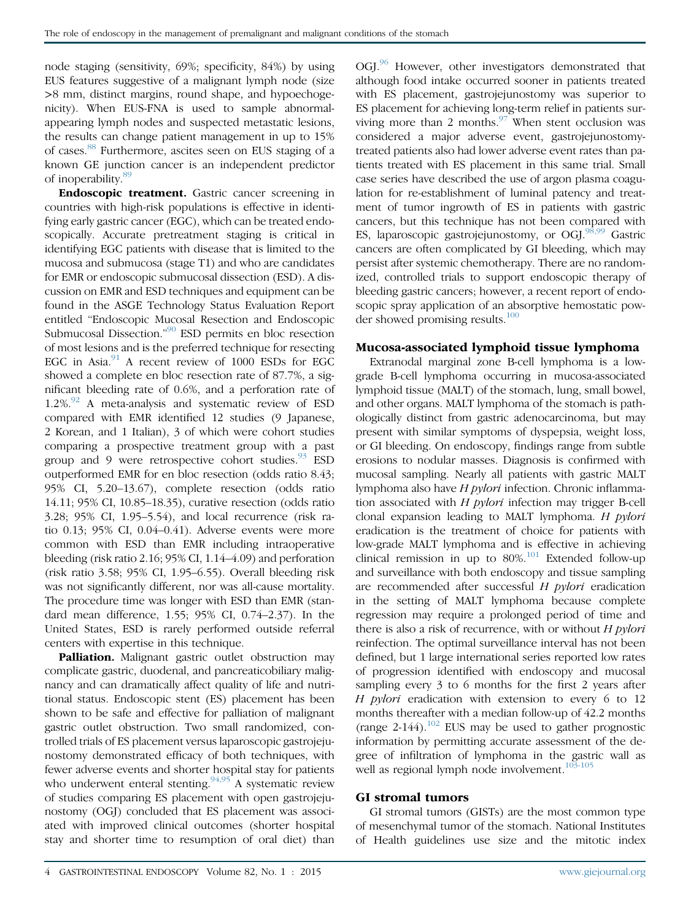node staging (sensitivity, 69%; specificity, 84%) by using EUS features suggestive of a malignant lymph node (size >8 mm, distinct margins, round shape, and hypoechogenicity). When EUS-FNA is used to sample abnormalappearing lymph nodes and suspected metastatic lesions, the results can change patient management in up to 15% of cases.[88](#page-6-0) Furthermore, ascites seen on EUS staging of a known GE junction cancer is an independent predictor of inoperability.<sup>[89](#page-6-0)</sup>

Endoscopic treatment. Gastric cancer screening in countries with high-risk populations is effective in identifying early gastric cancer (EGC), which can be treated endoscopically. Accurate pretreatment staging is critical in identifying EGC patients with disease that is limited to the mucosa and submucosa (stage T1) and who are candidates for EMR or endoscopic submucosal dissection (ESD). A discussion on EMR and ESD techniques and equipment can be found in the ASGE Technology Status Evaluation Report entitled "Endoscopic Mucosal Resection and Endoscopic Submucosal Dissection." [90](#page-6-0) ESD permits en bloc resection of most lesions and is the preferred technique for resecting EGC in Asia.<sup>[91](#page-6-0)</sup> A recent review of 1000 ESDs for EGC showed a complete en bloc resection rate of 87.7%, a significant bleeding rate of 0.6%, and a perforation rate of  $1.2\%$ <sup>[92](#page-6-0)</sup> A meta-analysis and systematic review of ESD compared with EMR identified 12 studies (9 Japanese, 2 Korean, and 1 Italian), 3 of which were cohort studies comparing a prospective treatment group with a past group and 9 were retrospective cohort studies. $93$  ESD outperformed EMR for en bloc resection (odds ratio 8.43; 95% CI, 5.20–13.67), complete resection (odds ratio 14.11; 95% CI, 10.85–18.35), curative resection (odds ratio 3.28; 95% CI, 1.95–5.54), and local recurrence (risk ratio 0.13; 95% CI, 0.04–0.41). Adverse events were more common with ESD than EMR including intraoperative bleeding (risk ratio 2.16; 95% CI, 1.14–4.09) and perforation (risk ratio 3.58; 95% CI, 1.95–6.55). Overall bleeding risk was not significantly different, nor was all-cause mortality. The procedure time was longer with ESD than EMR (standard mean difference, 1.55; 95% CI, 0.74–2.37). In the United States, ESD is rarely performed outside referral centers with expertise in this technique.

Palliation. Malignant gastric outlet obstruction may complicate gastric, duodenal, and pancreaticobiliary malignancy and can dramatically affect quality of life and nutritional status. Endoscopic stent (ES) placement has been shown to be safe and effective for palliation of malignant gastric outlet obstruction. Two small randomized, controlled trials of ES placement versus laparoscopic gastrojejunostomy demonstrated efficacy of both techniques, with fewer adverse events and shorter hospital stay for patients who underwent enteral stenting.  $94,95$  A systematic review of studies comparing ES placement with open gastrojejunostomy (OGJ) concluded that ES placement was associated with improved clinical outcomes (shorter hospital stay and shorter time to resumption of oral diet) than OGI.<sup>[96](#page-7-0)</sup> However, other investigators demonstrated that although food intake occurred sooner in patients treated with ES placement, gastrojejunostomy was superior to ES placement for achieving long-term relief in patients surviving more than 2 months. $97$  When stent occlusion was considered a major adverse event, gastrojejunostomytreated patients also had lower adverse event rates than patients treated with ES placement in this same trial. Small case series have described the use of argon plasma coagulation for re-establishment of luminal patency and treatment of tumor ingrowth of ES in patients with gastric cancers, but this technique has not been compared with ES, laparoscopic gastrojejunostomy, or OGJ.<sup>[98,99](#page-7-0)</sup> Gastric cancers are often complicated by GI bleeding, which may persist after systemic chemotherapy. There are no randomized, controlled trials to support endoscopic therapy of bleeding gastric cancers; however, a recent report of endoscopic spray application of an absorptive hemostatic powder showed promising results.<sup>100</sup>

# Mucosa-associated lymphoid tissue lymphoma

Extranodal marginal zone B-cell lymphoma is a lowgrade B-cell lymphoma occurring in mucosa-associated lymphoid tissue (MALT) of the stomach, lung, small bowel, and other organs. MALT lymphoma of the stomach is pathologically distinct from gastric adenocarcinoma, but may present with similar symptoms of dyspepsia, weight loss, or GI bleeding. On endoscopy, findings range from subtle erosions to nodular masses. Diagnosis is confirmed with mucosal sampling. Nearly all patients with gastric MALT lymphoma also have H pylori infection. Chronic inflammation associated with  $H$  pylori infection may trigger B-cell clonal expansion leading to MALT lymphoma. H pylori eradication is the treatment of choice for patients with low-grade MALT lymphoma and is effective in achieving clinical remission in up to  $80\%$ .<sup>[101](#page-7-0)</sup> Extended follow-up and surveillance with both endoscopy and tissue sampling are recommended after successful H pylori eradication in the setting of MALT lymphoma because complete regression may require a prolonged period of time and there is also a risk of recurrence, with or without  $H$  *pylori* reinfection. The optimal surveillance interval has not been defined, but 1 large international series reported low rates of progression identified with endoscopy and mucosal sampling every 3 to 6 months for the first 2 years after H *pylori* eradication with extension to every 6 to 12 months thereafter with a median follow-up of 42.2 months (range  $2-144$ ).<sup>[102](#page-7-0)</sup> EUS may be used to gather prognostic information by permitting accurate assessment of the degree of infiltration of lymphoma in the gastric wall as well as regional lymph node involvement.<sup>[103-105](#page-7-0)</sup>

# GI stromal tumors

GI stromal tumors (GISTs) are the most common type of mesenchymal tumor of the stomach. National Institutes of Health guidelines use size and the mitotic index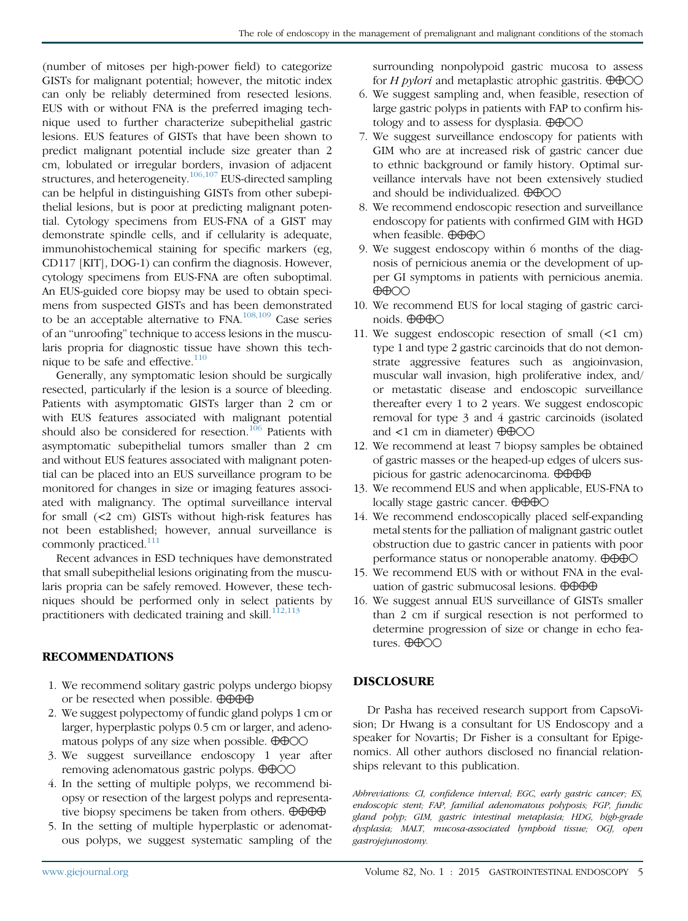(number of mitoses per high-power field) to categorize GISTs for malignant potential; however, the mitotic index can only be reliably determined from resected lesions. EUS with or without FNA is the preferred imaging technique used to further characterize subepithelial gastric lesions. EUS features of GISTs that have been shown to predict malignant potential include size greater than 2 cm, lobulated or irregular borders, invasion of adjacent structures, and heterogeneity.<sup>106,107</sup> EUS-directed sampling can be helpful in distinguishing GISTs from other subepithelial lesions, but is poor at predicting malignant potential. Cytology specimens from EUS-FNA of a GIST may demonstrate spindle cells, and if cellularity is adequate, immunohistochemical staining for specific markers (eg, CD117 [KIT], DOG-1) can confirm the diagnosis. However, cytology specimens from EUS-FNA are often suboptimal. An EUS-guided core biopsy may be used to obtain specimens from suspected GISTs and has been demonstrated to be an acceptable alternative to FNA.<sup>[108,109](#page-7-0)</sup> Case series of an "unroofing" technique to access lesions in the muscularis propria for diagnostic tissue have shown this tech-nique to be safe and effective.<sup>[110](#page-7-0)</sup>

Generally, any symptomatic lesion should be surgically resected, particularly if the lesion is a source of bleeding. Patients with asymptomatic GISTs larger than 2 cm or with EUS features associated with malignant potential should also be considered for resection.<sup>[106](#page-7-0)</sup> Patients with asymptomatic subepithelial tumors smaller than 2 cm and without EUS features associated with malignant potential can be placed into an EUS surveillance program to be monitored for changes in size or imaging features associated with malignancy. The optimal surveillance interval for small (<2 cm) GISTs without high-risk features has not been established; however, annual surveillance is commonly practiced.<sup>[111](#page-7-0)</sup>

Recent advances in ESD techniques have demonstrated that small subepithelial lesions originating from the muscularis propria can be safely removed. However, these techniques should be performed only in select patients by practitioners with dedicated training and skill. $^{112,113}$  $^{112,113}$  $^{112,113}$ 

## RECOMMENDATIONS

- 1. We recommend solitary gastric polyps undergo biopsy or be resected when possible.  $\oplus \oplus \oplus \oplus$
- 2. We suggest polypectomy of fundic gland polyps 1 cm or larger, hyperplastic polyps 0.5 cm or larger, and adenomatous polyps of any size when possible.  $\oplus \oplus \odot \odot$
- 3. We suggest surveillance endoscopy 1 year after removing adenomatous gastric polyps.  $\oplus \oplus \odot \odot$
- 4. In the setting of multiple polyps, we recommend biopsy or resection of the largest polyps and representative biopsy specimens be taken from others.  $\Theta \Theta \Theta \Theta$
- 5. In the setting of multiple hyperplastic or adenomatous polyps, we suggest systematic sampling of the

surrounding nonpolypoid gastric mucosa to assess for *H pylori* and metaplastic atrophic gastritis.  $\oplus \oplus \odot \odot$ 

- 6. We suggest sampling and, when feasible, resection of large gastric polyps in patients with FAP to confirm histology and to assess for dysplasia.  $\oplus \oplus \odot \odot$
- 7. We suggest surveillance endoscopy for patients with GIM who are at increased risk of gastric cancer due to ethnic background or family history. Optimal surveillance intervals have not been extensively studied and should be individualized.  $\oplus \oplus \odot \odot$
- 8. We recommend endoscopic resection and surveillance endoscopy for patients with confirmed GIM with HGD when feasible.  $\oplus \oplus \oplus \odot$
- 9. We suggest endoscopy within 6 months of the diagnosis of pernicious anemia or the development of upper GI symptoms in patients with pernicious anemia.  $\oplus \oplus \odot \odot$
- 10. We recommend EUS for local staging of gastric carcinoids.  $\oplus \oplus \oplus \odot$
- 11. We suggest endoscopic resection of small  $\leq 1$  cm) type 1 and type 2 gastric carcinoids that do not demonstrate aggressive features such as angioinvasion, muscular wall invasion, high proliferative index, and/ or metastatic disease and endoscopic surveillance thereafter every 1 to 2 years. We suggest endoscopic removal for type 3 and 4 gastric carcinoids (isolated and  $\lt 1$  cm in diameter)  $\oplus \oplus \odot \odot$
- 12. We recommend at least 7 biopsy samples be obtained of gastric masses or the heaped-up edges of ulcers suspicious for gastric adenocarcinoma.  $\oplus \oplus \oplus \oplus$
- 13. We recommend EUS and when applicable, EUS-FNA to locally stage gastric cancer.  $\oplus \oplus \oplus \odot$
- 14. We recommend endoscopically placed self-expanding metal stents for the palliation of malignant gastric outlet obstruction due to gastric cancer in patients with poor performance status or nonoperable anatomy.  $\oplus \oplus \oplus \odot$
- 15. We recommend EUS with or without FNA in the evaluation of gastric submucosal lesions.  $\oplus \oplus \oplus \oplus$
- 16. We suggest annual EUS surveillance of GISTs smaller than 2 cm if surgical resection is not performed to determine progression of size or change in echo features.  $\oplus$  $\oplus$ OO

## DISCLOSURE

Dr Pasha has received research support from CapsoVision; Dr Hwang is a consultant for US Endoscopy and a speaker for Novartis; Dr Fisher is a consultant for Epigenomics. All other authors disclosed no financial relationships relevant to this publication.

Abbreviations: CI, confidence interval; EGC, early gastric cancer; ES, endoscopic stent; FAP, familial adenomatous polyposis; FGP, fundic gland polyp; GIM, gastric intestinal metaplasia; HDG, high-grade dysplasia; MALT, mucosa-associated lymphoid tissue; OGJ, open gastrojejunostomy.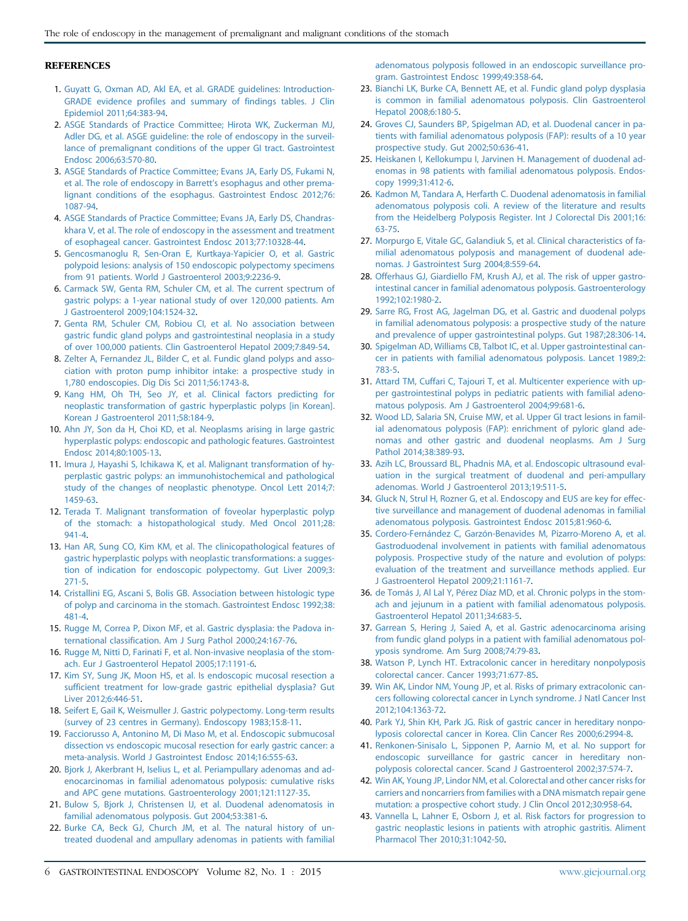#### <span id="page-5-0"></span>**REFERENCES**

- 1. [Guyatt G, Oxman AD, Akl EA, et al. GRADE guidelines: Introduction-](http://refhub.elsevier.com/S0016-5107(15)02277-4/sref1)[GRADE evidence profiles and summary of findings tables. J Clin](http://refhub.elsevier.com/S0016-5107(15)02277-4/sref1) [Epidemiol 2011;64:383-94.](http://refhub.elsevier.com/S0016-5107(15)02277-4/sref1)
- 2. [ASGE Standards of Practice Committee; Hirota WK, Zuckerman MJ,](http://refhub.elsevier.com/S0016-5107(15)02277-4/sref2) [Adler DG, et al. ASGE guideline: the role of endoscopy in the surveil](http://refhub.elsevier.com/S0016-5107(15)02277-4/sref2)[lance of premalignant conditions of the upper GI tract. Gastrointest](http://refhub.elsevier.com/S0016-5107(15)02277-4/sref2) [Endosc 2006;63:570-80](http://refhub.elsevier.com/S0016-5107(15)02277-4/sref2).
- 3. [ASGE Standards of Practice Committee; Evans JA, Early DS, Fukami N,](http://refhub.elsevier.com/S0016-5107(15)02277-4/sref3) [et al. The role of endoscopy in Barrett](http://refhub.elsevier.com/S0016-5107(15)02277-4/sref3)'s esophagus and other prema[lignant conditions of the esophagus. Gastrointest Endosc 2012;76:](http://refhub.elsevier.com/S0016-5107(15)02277-4/sref3) [1087-94](http://refhub.elsevier.com/S0016-5107(15)02277-4/sref3).
- 4. [ASGE Standards of Practice Committee; Evans JA, Early DS, Chandras](http://refhub.elsevier.com/S0016-5107(15)02277-4/sref4)[khara V, et al. The role of endoscopy in the assessment and treatment](http://refhub.elsevier.com/S0016-5107(15)02277-4/sref4) [of esophageal cancer. Gastrointest Endosc 2013;77:10328-44](http://refhub.elsevier.com/S0016-5107(15)02277-4/sref4).
- 5. [Gencosmanoglu R, Sen-Oran E, Kurtkaya-Yapicier O, et al. Gastric](http://refhub.elsevier.com/S0016-5107(15)02277-4/sref5) [polypoid lesions: analysis of 150 endoscopic polypectomy specimens](http://refhub.elsevier.com/S0016-5107(15)02277-4/sref5) [from 91 patients. World J Gastroenterol 2003;9:2236-9.](http://refhub.elsevier.com/S0016-5107(15)02277-4/sref5)
- 6. [Carmack SW, Genta RM, Schuler CM, et al. The current spectrum of](http://refhub.elsevier.com/S0016-5107(15)02277-4/sref6) [gastric polyps: a 1-year national study of over 120,000 patients. Am](http://refhub.elsevier.com/S0016-5107(15)02277-4/sref6) [J Gastroenterol 2009;104:1524-32](http://refhub.elsevier.com/S0016-5107(15)02277-4/sref6).
- 7. [Genta RM, Schuler CM, Robiou CI, et al. No association between](http://refhub.elsevier.com/S0016-5107(15)02277-4/sref7) [gastric fundic gland polyps and gastrointestinal neoplasia in a study](http://refhub.elsevier.com/S0016-5107(15)02277-4/sref7) [of over 100,000 patients. Clin Gastroenterol Hepatol 2009;7:849-54.](http://refhub.elsevier.com/S0016-5107(15)02277-4/sref7)
- 8. [Zelter A, Fernandez JL, Bilder C, et al. Fundic gland polyps and asso](http://refhub.elsevier.com/S0016-5107(15)02277-4/sref8)[ciation with proton pump inhibitor intake: a prospective study in](http://refhub.elsevier.com/S0016-5107(15)02277-4/sref8) [1,780 endoscopies. Dig Dis Sci 2011;56:1743-8.](http://refhub.elsevier.com/S0016-5107(15)02277-4/sref8)
- 9. [Kang HM, Oh TH, Seo JY, et al. Clinical factors predicting for](http://refhub.elsevier.com/S0016-5107(15)02277-4/sref9) [neoplastic transformation of gastric hyperplastic polyps \[in Korean\].](http://refhub.elsevier.com/S0016-5107(15)02277-4/sref9) [Korean J Gastroenterol 2011;58:184-9](http://refhub.elsevier.com/S0016-5107(15)02277-4/sref9).
- 10. [Ahn JY, Son da H, Choi KD, et al. Neoplasms arising in large gastric](http://refhub.elsevier.com/S0016-5107(15)02277-4/sref10) [hyperplastic polyps: endoscopic and pathologic features. Gastrointest](http://refhub.elsevier.com/S0016-5107(15)02277-4/sref10) [Endosc 2014;80:1005-13](http://refhub.elsevier.com/S0016-5107(15)02277-4/sref10).
- 11. [Imura J, Hayashi S, Ichikawa K, et al. Malignant transformation of hy](http://refhub.elsevier.com/S0016-5107(15)02277-4/sref11)[perplastic gastric polyps: an immunohistochemical and pathological](http://refhub.elsevier.com/S0016-5107(15)02277-4/sref11) [study of the changes of neoplastic phenotype. Oncol Lett 2014;7:](http://refhub.elsevier.com/S0016-5107(15)02277-4/sref11) [1459-63](http://refhub.elsevier.com/S0016-5107(15)02277-4/sref11).
- 12. [Terada T. Malignant transformation of foveolar hyperplastic polyp](http://refhub.elsevier.com/S0016-5107(15)02277-4/sref12) [of the stomach: a histopathological study. Med Oncol 2011;28:](http://refhub.elsevier.com/S0016-5107(15)02277-4/sref12) [941-4](http://refhub.elsevier.com/S0016-5107(15)02277-4/sref12).
- 13. [Han AR, Sung CO, Kim KM, et al. The clinicopathological features of](http://refhub.elsevier.com/S0016-5107(15)02277-4/sref13) [gastric hyperplastic polyps with neoplastic transformations: a sugges](http://refhub.elsevier.com/S0016-5107(15)02277-4/sref13)[tion of indication for endoscopic polypectomy. Gut Liver 2009;3:](http://refhub.elsevier.com/S0016-5107(15)02277-4/sref13) [271-5](http://refhub.elsevier.com/S0016-5107(15)02277-4/sref13).
- 14. [Cristallini EG, Ascani S, Bolis GB. Association between histologic type](http://refhub.elsevier.com/S0016-5107(15)02277-4/sref14) [of polyp and carcinoma in the stomach. Gastrointest Endosc 1992;38:](http://refhub.elsevier.com/S0016-5107(15)02277-4/sref14) [481-4](http://refhub.elsevier.com/S0016-5107(15)02277-4/sref14).
- 15. [Rugge M, Correa P, Dixon MF, et al. Gastric dysplasia: the Padova in](http://refhub.elsevier.com/S0016-5107(15)02277-4/sref15)[ternational classification. Am J Surg Pathol 2000;24:167-76.](http://refhub.elsevier.com/S0016-5107(15)02277-4/sref15)
- 16. [Rugge M, Nitti D, Farinati F, et al. Non-invasive neoplasia of the stom](http://refhub.elsevier.com/S0016-5107(15)02277-4/sref16)[ach. Eur J Gastroenterol Hepatol 2005;17:1191-6](http://refhub.elsevier.com/S0016-5107(15)02277-4/sref16).
- 17. [Kim SY, Sung JK, Moon HS, et al. Is endoscopic mucosal resection a](http://refhub.elsevier.com/S0016-5107(15)02277-4/sref17) [sufficient treatment for low-grade gastric epithelial dysplasia? Gut](http://refhub.elsevier.com/S0016-5107(15)02277-4/sref17) [Liver 2012;6:446-51](http://refhub.elsevier.com/S0016-5107(15)02277-4/sref17).
- 18. [Seifert E, Gail K, Weismuller J. Gastric polypectomy. Long-term results](http://refhub.elsevier.com/S0016-5107(15)02277-4/sref18) [\(survey of 23 centres in Germany\). Endoscopy 1983;15:8-11.](http://refhub.elsevier.com/S0016-5107(15)02277-4/sref18)
- 19. [Facciorusso A, Antonino M, Di Maso M, et al. Endoscopic submucosal](http://refhub.elsevier.com/S0016-5107(15)02277-4/sref19) [dissection vs endoscopic mucosal resection for early gastric cancer: a](http://refhub.elsevier.com/S0016-5107(15)02277-4/sref19) [meta-analysis. World J Gastrointest Endosc 2014;16:555-63](http://refhub.elsevier.com/S0016-5107(15)02277-4/sref19).
- 20. [Bjork J, Akerbrant H, Iselius L, et al. Periampullary adenomas and ad](http://refhub.elsevier.com/S0016-5107(15)02277-4/sref20)[enocarcinomas in familial adenomatous polyposis: cumulative risks](http://refhub.elsevier.com/S0016-5107(15)02277-4/sref20) [and APC gene mutations. Gastroenterology 2001;121:1127-35.](http://refhub.elsevier.com/S0016-5107(15)02277-4/sref20)
- 21. [Bulow S, Bjork J, Christensen IJ, et al. Duodenal adenomatosis in](http://refhub.elsevier.com/S0016-5107(15)02277-4/sref21) [familial adenomatous polyposis. Gut 2004;53:381-6.](http://refhub.elsevier.com/S0016-5107(15)02277-4/sref21)
- 22. [Burke CA, Beck GJ, Church JM, et al. The natural history of un](http://refhub.elsevier.com/S0016-5107(15)02277-4/sref22)[treated duodenal and ampullary adenomas in patients with familial](http://refhub.elsevier.com/S0016-5107(15)02277-4/sref22)

[adenomatous polyposis followed in an endoscopic surveillance pro](http://refhub.elsevier.com/S0016-5107(15)02277-4/sref22)[gram. Gastrointest Endosc 1999;49:358-64](http://refhub.elsevier.com/S0016-5107(15)02277-4/sref22).

- 23. [Bianchi LK, Burke CA, Bennett AE, et al. Fundic gland polyp dysplasia](http://refhub.elsevier.com/S0016-5107(15)02277-4/sref23) [is common in familial adenomatous polyposis. Clin Gastroenterol](http://refhub.elsevier.com/S0016-5107(15)02277-4/sref23) [Hepatol 2008;6:180-5](http://refhub.elsevier.com/S0016-5107(15)02277-4/sref23).
- 24. [Groves CJ, Saunders BP, Spigelman AD, et al. Duodenal cancer in pa](http://refhub.elsevier.com/S0016-5107(15)02277-4/sref24)[tients with familial adenomatous polyposis \(FAP\): results of a 10 year](http://refhub.elsevier.com/S0016-5107(15)02277-4/sref24) [prospective study. Gut 2002;50:636-41.](http://refhub.elsevier.com/S0016-5107(15)02277-4/sref24)
- 25. [Heiskanen I, Kellokumpu I, Jarvinen H. Management of duodenal ad](http://refhub.elsevier.com/S0016-5107(15)02277-4/sref25)[enomas in 98 patients with familial adenomatous polyposis. Endos](http://refhub.elsevier.com/S0016-5107(15)02277-4/sref25)[copy 1999;31:412-6](http://refhub.elsevier.com/S0016-5107(15)02277-4/sref25).
- 26. [Kadmon M, Tandara A, Herfarth C. Duodenal adenomatosis in familial](http://refhub.elsevier.com/S0016-5107(15)02277-4/sref26) [adenomatous polyposis coli. A review of the literature and results](http://refhub.elsevier.com/S0016-5107(15)02277-4/sref26) [from the Heidelberg Polyposis Register. Int J Colorectal Dis 2001;16:](http://refhub.elsevier.com/S0016-5107(15)02277-4/sref26) [63-75.](http://refhub.elsevier.com/S0016-5107(15)02277-4/sref26)
- 27. [Morpurgo E, Vitale GC, Galandiuk S, et al. Clinical characteristics of fa](http://refhub.elsevier.com/S0016-5107(15)02277-4/sref27)[milial adenomatous polyposis and management of duodenal ade](http://refhub.elsevier.com/S0016-5107(15)02277-4/sref27)[nomas. J Gastrointest Surg 2004;8:559-64.](http://refhub.elsevier.com/S0016-5107(15)02277-4/sref27)
- 28. [Offerhaus GJ, Giardiello FM, Krush AJ, et al. The risk of upper gastro](http://refhub.elsevier.com/S0016-5107(15)02277-4/sref28)[intestinal cancer in familial adenomatous polyposis. Gastroenterology](http://refhub.elsevier.com/S0016-5107(15)02277-4/sref28) [1992;102:1980-2](http://refhub.elsevier.com/S0016-5107(15)02277-4/sref28).
- 29. [Sarre RG, Frost AG, Jagelman DG, et al. Gastric and duodenal polyps](http://refhub.elsevier.com/S0016-5107(15)02277-4/sref29) [in familial adenomatous polyposis: a prospective study of the nature](http://refhub.elsevier.com/S0016-5107(15)02277-4/sref29) [and prevalence of upper gastrointestinal polyps. Gut 1987;28:306-14.](http://refhub.elsevier.com/S0016-5107(15)02277-4/sref29)
- 30. [Spigelman AD, Williams CB, Talbot IC, et al. Upper gastrointestinal can](http://refhub.elsevier.com/S0016-5107(15)02277-4/sref30)[cer in patients with familial adenomatous polyposis. Lancet 1989;2:](http://refhub.elsevier.com/S0016-5107(15)02277-4/sref30) [783-5.](http://refhub.elsevier.com/S0016-5107(15)02277-4/sref30)
- 31. [Attard TM, Cuffari C, Tajouri T, et al. Multicenter experience with up](http://refhub.elsevier.com/S0016-5107(15)02277-4/sref31)[per gastrointestinal polyps in pediatric patients with familial adeno](http://refhub.elsevier.com/S0016-5107(15)02277-4/sref31)[matous polyposis. Am J Gastroenterol 2004;99:681-6.](http://refhub.elsevier.com/S0016-5107(15)02277-4/sref31)
- 32. [Wood LD, Salaria SN, Cruise MW, et al. Upper GI tract lesions in famil](http://refhub.elsevier.com/S0016-5107(15)02277-4/sref32)[ial adenomatous polyposis \(FAP\): enrichment of pyloric gland ade](http://refhub.elsevier.com/S0016-5107(15)02277-4/sref32)[nomas and other gastric and duodenal neoplasms. Am J Surg](http://refhub.elsevier.com/S0016-5107(15)02277-4/sref32) [Pathol 2014;38:389-93](http://refhub.elsevier.com/S0016-5107(15)02277-4/sref32).
- 33. [Azih LC, Broussard BL, Phadnis MA, et al. Endoscopic ultrasound eval](http://refhub.elsevier.com/S0016-5107(15)02277-4/sref33)[uation in the surgical treatment of duodenal and peri-ampullary](http://refhub.elsevier.com/S0016-5107(15)02277-4/sref33) [adenomas. World J Gastroenterol 2013;19:511-5.](http://refhub.elsevier.com/S0016-5107(15)02277-4/sref33)
- 34. [Gluck N, Strul H, Rozner G, et al. Endoscopy and EUS are key for effec](http://refhub.elsevier.com/S0016-5107(15)02277-4/sref34)[tive surveillance and management of duodenal adenomas in familial](http://refhub.elsevier.com/S0016-5107(15)02277-4/sref34) [adenomatous polyposis. Gastrointest Endosc 2015;81:960-6](http://refhub.elsevier.com/S0016-5107(15)02277-4/sref34).
- 35. [Cordero-Fernández C, Garzón-Benavides M, Pizarro-Moreno A, et al.](http://refhub.elsevier.com/S0016-5107(15)02277-4/sref35) [Gastroduodenal involvement in patients with familial adenomatous](http://refhub.elsevier.com/S0016-5107(15)02277-4/sref35) [polyposis. Prospective study of the nature and evolution of polyps:](http://refhub.elsevier.com/S0016-5107(15)02277-4/sref35) [evaluation of the treatment and surveillance methods applied. Eur](http://refhub.elsevier.com/S0016-5107(15)02277-4/sref35) [J Gastroenterol Hepatol 2009;21:1161-7](http://refhub.elsevier.com/S0016-5107(15)02277-4/sref35).
- 36. [de Tomás J, Al Lal Y, Pérez Díaz MD, et al. Chronic polyps in the stom](http://refhub.elsevier.com/S0016-5107(15)02277-4/sref36)[ach and jejunum in a patient with familial adenomatous polyposis.](http://refhub.elsevier.com/S0016-5107(15)02277-4/sref36) [Gastroenterol Hepatol 2011;34:683-5.](http://refhub.elsevier.com/S0016-5107(15)02277-4/sref36)
- 37. [Garrean S, Hering J, Saied A, et al. Gastric adenocarcinoma arising](http://refhub.elsevier.com/S0016-5107(15)02277-4/sref37) [from fundic gland polyps in a patient with familial adenomatous pol](http://refhub.elsevier.com/S0016-5107(15)02277-4/sref37)[yposis syndrome. Am Surg 2008;74:79-83.](http://refhub.elsevier.com/S0016-5107(15)02277-4/sref37)
- 38. [Watson P, Lynch HT. Extracolonic cancer in hereditary nonpolyposis](http://refhub.elsevier.com/S0016-5107(15)02277-4/sref38) [colorectal cancer. Cancer 1993;71:677-85.](http://refhub.elsevier.com/S0016-5107(15)02277-4/sref38)
- 39. [Win AK, Lindor NM, Young JP, et al. Risks of primary extracolonic can](http://refhub.elsevier.com/S0016-5107(15)02277-4/sref39)[cers following colorectal cancer in Lynch syndrome. J Natl Cancer Inst](http://refhub.elsevier.com/S0016-5107(15)02277-4/sref39) [2012;104:1363-72.](http://refhub.elsevier.com/S0016-5107(15)02277-4/sref39)
- 40. [Park YJ, Shin KH, Park JG. Risk of gastric cancer in hereditary nonpo](http://refhub.elsevier.com/S0016-5107(15)02277-4/sref40)[lyposis colorectal cancer in Korea. Clin Cancer Res 2000;6:2994-8.](http://refhub.elsevier.com/S0016-5107(15)02277-4/sref40)
- 41. [Renkonen-Sinisalo L, Sipponen P, Aarnio M, et al. No support for](http://refhub.elsevier.com/S0016-5107(15)02277-4/sref41) [endoscopic surveillance for gastric cancer in hereditary non](http://refhub.elsevier.com/S0016-5107(15)02277-4/sref41)[polyposis colorectal cancer. Scand J Gastroenterol 2002;37:574-7](http://refhub.elsevier.com/S0016-5107(15)02277-4/sref41).
- 42. [Win AK, Young JP, Lindor NM, et al. Colorectal and other cancer risks for](http://refhub.elsevier.com/S0016-5107(15)02277-4/sref42) [carriers and noncarriers from families with a DNA mismatch repair gene](http://refhub.elsevier.com/S0016-5107(15)02277-4/sref42) [mutation: a prospective cohort study. J Clin Oncol 2012;30:958-64.](http://refhub.elsevier.com/S0016-5107(15)02277-4/sref42)
- 43. [Vannella L, Lahner E, Osborn J, et al. Risk factors for progression to](http://refhub.elsevier.com/S0016-5107(15)02277-4/sref43) [gastric neoplastic lesions in patients with atrophic gastritis. Aliment](http://refhub.elsevier.com/S0016-5107(15)02277-4/sref43) [Pharmacol Ther 2010;31:1042-50.](http://refhub.elsevier.com/S0016-5107(15)02277-4/sref43)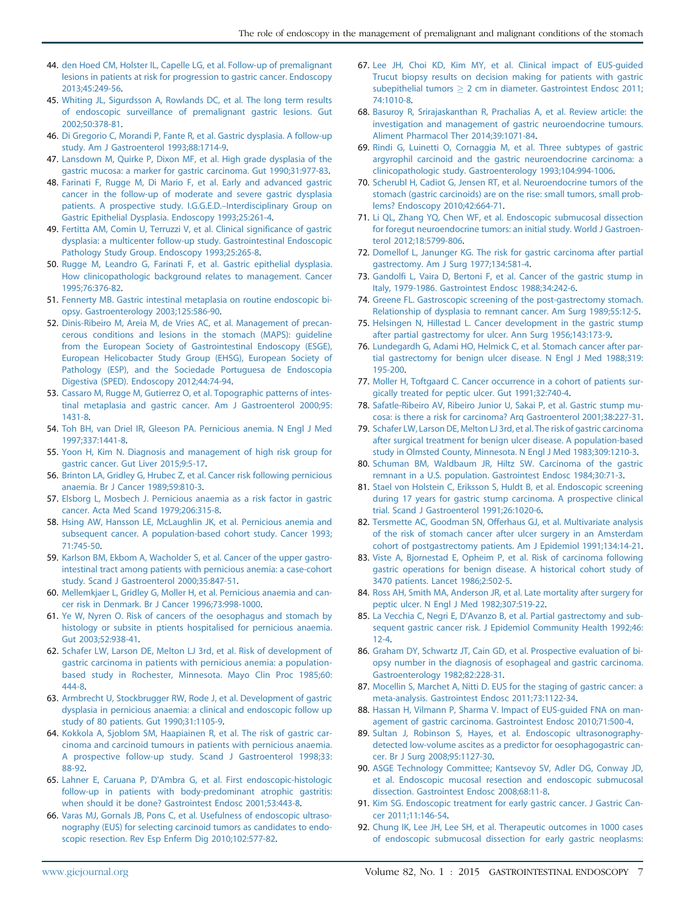- <span id="page-6-0"></span>44. [den Hoed CM, Holster IL, Capelle LG, et al. Follow-up of premalignant](http://refhub.elsevier.com/S0016-5107(15)02277-4/sref44) [lesions in patients at risk for progression to gastric cancer. Endoscopy](http://refhub.elsevier.com/S0016-5107(15)02277-4/sref44) [2013;45:249-56.](http://refhub.elsevier.com/S0016-5107(15)02277-4/sref44)
- 45. [Whiting JL, Sigurdsson A, Rowlands DC, et al. The long term results](http://refhub.elsevier.com/S0016-5107(15)02277-4/sref45) [of endoscopic surveillance of premalignant gastric lesions. Gut](http://refhub.elsevier.com/S0016-5107(15)02277-4/sref45) [2002;50:378-81.](http://refhub.elsevier.com/S0016-5107(15)02277-4/sref45)
- 46. [Di Gregorio C, Morandi P, Fante R, et al. Gastric dysplasia. A follow-up](http://refhub.elsevier.com/S0016-5107(15)02277-4/sref46) [study. Am J Gastroenterol 1993;88:1714-9.](http://refhub.elsevier.com/S0016-5107(15)02277-4/sref46)
- 47. [Lansdown M, Quirke P, Dixon MF, et al. High grade dysplasia of the](http://refhub.elsevier.com/S0016-5107(15)02277-4/sref47) [gastric mucosa: a marker for gastric carcinoma. Gut 1990;31:977-83](http://refhub.elsevier.com/S0016-5107(15)02277-4/sref47).
- 48. [Farinati F, Rugge M, Di Mario F, et al. Early and advanced gastric](http://refhub.elsevier.com/S0016-5107(15)02277-4/sref48) [cancer in the follow-up of moderate and severe gastric dysplasia](http://refhub.elsevier.com/S0016-5107(15)02277-4/sref48) [patients. A prospective study. I.G.G.E.D.](http://refhub.elsevier.com/S0016-5107(15)02277-4/sref48)–Interdisciplinary Group on [Gastric Epithelial Dysplasia. Endoscopy 1993;25:261-4](http://refhub.elsevier.com/S0016-5107(15)02277-4/sref48).
- 49. [Fertitta AM, Comin U, Terruzzi V, et al. Clinical significance of gastric](http://refhub.elsevier.com/S0016-5107(15)02277-4/sref49) [dysplasia: a multicenter follow-up study. Gastrointestinal Endoscopic](http://refhub.elsevier.com/S0016-5107(15)02277-4/sref49) [Pathology Study Group. Endoscopy 1993;25:265-8](http://refhub.elsevier.com/S0016-5107(15)02277-4/sref49).
- 50. [Rugge M, Leandro G, Farinati F, et al. Gastric epithelial dysplasia.](http://refhub.elsevier.com/S0016-5107(15)02277-4/sref50) [How clinicopathologic background relates to management. Cancer](http://refhub.elsevier.com/S0016-5107(15)02277-4/sref50) [1995;76:376-82.](http://refhub.elsevier.com/S0016-5107(15)02277-4/sref50)
- 51. [Fennerty MB. Gastric intestinal metaplasia on routine endoscopic bi](http://refhub.elsevier.com/S0016-5107(15)02277-4/sref51)[opsy. Gastroenterology 2003;125:586-90.](http://refhub.elsevier.com/S0016-5107(15)02277-4/sref51)
- 52. [Dinis-Ribeiro M, Areia M, de Vries AC, et al. Management of precan](http://refhub.elsevier.com/S0016-5107(15)02277-4/sref52)[cerous conditions and lesions in the stomach \(MAPS\): guideline](http://refhub.elsevier.com/S0016-5107(15)02277-4/sref52) [from the European Society of Gastrointestinal Endoscopy \(ESGE\),](http://refhub.elsevier.com/S0016-5107(15)02277-4/sref52) [European Helicobacter Study Group \(EHSG\), European Society of](http://refhub.elsevier.com/S0016-5107(15)02277-4/sref52) [Pathology \(ESP\), and the Sociedade Portuguesa de Endoscopia](http://refhub.elsevier.com/S0016-5107(15)02277-4/sref52) [Digestiva \(SPED\). Endoscopy 2012;44:74-94.](http://refhub.elsevier.com/S0016-5107(15)02277-4/sref52)
- 53. [Cassaro M, Rugge M, Gutierrez O, et al. Topographic patterns of intes](http://refhub.elsevier.com/S0016-5107(15)02277-4/sref53)[tinal metaplasia and gastric cancer. Am J Gastroenterol 2000;95:](http://refhub.elsevier.com/S0016-5107(15)02277-4/sref53) [1431-8](http://refhub.elsevier.com/S0016-5107(15)02277-4/sref53).
- 54. [Toh BH, van Driel IR, Gleeson PA. Pernicious anemia. N Engl J Med](http://refhub.elsevier.com/S0016-5107(15)02277-4/sref54) [1997;337:1441-8.](http://refhub.elsevier.com/S0016-5107(15)02277-4/sref54)
- 55. [Yoon H, Kim N. Diagnosis and management of high risk group for](http://refhub.elsevier.com/S0016-5107(15)02277-4/sref55) [gastric cancer. Gut Liver 2015;9:5-17](http://refhub.elsevier.com/S0016-5107(15)02277-4/sref55).
- 56. [Brinton LA, Gridley G, Hrubec Z, et al. Cancer risk following pernicious](http://refhub.elsevier.com/S0016-5107(15)02277-4/sref56) [anaemia. Br J Cancer 1989;59:810-3.](http://refhub.elsevier.com/S0016-5107(15)02277-4/sref56)
- 57. [Elsborg L, Mosbech J. Pernicious anaemia as a risk factor in gastric](http://refhub.elsevier.com/S0016-5107(15)02277-4/sref57) [cancer. Acta Med Scand 1979;206:315-8](http://refhub.elsevier.com/S0016-5107(15)02277-4/sref57).
- 58. [Hsing AW, Hansson LE, McLaughlin JK, et al. Pernicious anemia and](http://refhub.elsevier.com/S0016-5107(15)02277-4/sref58) [subsequent cancer. A population-based cohort study. Cancer 1993;](http://refhub.elsevier.com/S0016-5107(15)02277-4/sref58) [71:745-50.](http://refhub.elsevier.com/S0016-5107(15)02277-4/sref58)
- 59. [Karlson BM, Ekbom A, Wacholder S, et al. Cancer of the upper gastro](http://refhub.elsevier.com/S0016-5107(15)02277-4/sref59)[intestinal tract among patients with pernicious anemia: a case-cohort](http://refhub.elsevier.com/S0016-5107(15)02277-4/sref59) [study. Scand J Gastroenterol 2000;35:847-51](http://refhub.elsevier.com/S0016-5107(15)02277-4/sref59).
- 60. [Mellemkjaer L, Gridley G, Moller H, et al. Pernicious anaemia and can](http://refhub.elsevier.com/S0016-5107(15)02277-4/sref60)[cer risk in Denmark. Br J Cancer 1996;73:998-1000](http://refhub.elsevier.com/S0016-5107(15)02277-4/sref60).
- 61. [Ye W, Nyren O. Risk of cancers of the oesophagus and stomach by](http://refhub.elsevier.com/S0016-5107(15)02277-4/sref61) [histology or subsite in ptients hospitalised for pernicious anaemia.](http://refhub.elsevier.com/S0016-5107(15)02277-4/sref61) [Gut 2003;52:938-41](http://refhub.elsevier.com/S0016-5107(15)02277-4/sref61).
- 62. [Schafer LW, Larson DE, Melton LJ 3rd, et al. Risk of development of](http://refhub.elsevier.com/S0016-5107(15)02277-4/sref62) [gastric carcinoma in patients with pernicious anemia: a population](http://refhub.elsevier.com/S0016-5107(15)02277-4/sref62)[based study in Rochester, Minnesota. Mayo Clin Proc 1985;60:](http://refhub.elsevier.com/S0016-5107(15)02277-4/sref62) [444-8.](http://refhub.elsevier.com/S0016-5107(15)02277-4/sref62)
- 63. [Armbrecht U, Stockbrugger RW, Rode J, et al. Development of gastric](http://refhub.elsevier.com/S0016-5107(15)02277-4/sref63) [dysplasia in pernicious anaemia: a clinical and endoscopic follow up](http://refhub.elsevier.com/S0016-5107(15)02277-4/sref63) [study of 80 patients. Gut 1990;31:1105-9](http://refhub.elsevier.com/S0016-5107(15)02277-4/sref63).
- 64. [Kokkola A, Sjoblom SM, Haapiainen R, et al. The risk of gastric car](http://refhub.elsevier.com/S0016-5107(15)02277-4/sref64)[cinoma and carcinoid tumours in patients with pernicious anaemia.](http://refhub.elsevier.com/S0016-5107(15)02277-4/sref64) [A prospective follow-up study. Scand J Gastroenterol 1998;33:](http://refhub.elsevier.com/S0016-5107(15)02277-4/sref64) [88-92.](http://refhub.elsevier.com/S0016-5107(15)02277-4/sref64)
- 65. [Lahner E, Caruana P, D'Ambra G, et al. First endoscopic-histologic](http://refhub.elsevier.com/S0016-5107(15)02277-4/sref65) [follow-up in patients with body-predominant atrophic gastritis:](http://refhub.elsevier.com/S0016-5107(15)02277-4/sref65) [when should it be done? Gastrointest Endosc 2001;53:443-8](http://refhub.elsevier.com/S0016-5107(15)02277-4/sref65).
- 66. [Varas MJ, Gornals JB, Pons C, et al. Usefulness of endoscopic ultraso](http://refhub.elsevier.com/S0016-5107(15)02277-4/sref66)[nography \(EUS\) for selecting carcinoid tumors as candidates to endo](http://refhub.elsevier.com/S0016-5107(15)02277-4/sref66)[scopic resection. Rev Esp Enferm Dig 2010;102:577-82](http://refhub.elsevier.com/S0016-5107(15)02277-4/sref66).
- 67. [Lee JH, Choi KD, Kim MY, et al. Clinical impact of EUS-guided](http://refhub.elsevier.com/S0016-5107(15)02277-4/sref67) [Trucut biopsy results on decision making for patients with gastric](http://refhub.elsevier.com/S0016-5107(15)02277-4/sref67) [subepithelial tumors](http://refhub.elsevier.com/S0016-5107(15)02277-4/sref67)  $\geq 2$  cm in diameter. Gastrointest Endosc 2011; [74:1010-8](http://refhub.elsevier.com/S0016-5107(15)02277-4/sref67).
- 68. [Basuroy R, Srirajaskanthan R, Prachalias A, et al. Review article: the](http://refhub.elsevier.com/S0016-5107(15)02277-4/sref68) [investigation and management of gastric neuroendocrine tumours.](http://refhub.elsevier.com/S0016-5107(15)02277-4/sref68) [Aliment Pharmacol Ther 2014;39:1071-84](http://refhub.elsevier.com/S0016-5107(15)02277-4/sref68).
- 69. [Rindi G, Luinetti O, Cornaggia M, et al. Three subtypes of gastric](http://refhub.elsevier.com/S0016-5107(15)02277-4/sref69) [argyrophil carcinoid and the gastric neuroendocrine carcinoma: a](http://refhub.elsevier.com/S0016-5107(15)02277-4/sref69) [clinicopathologic study. Gastroenterology 1993;104:994-1006](http://refhub.elsevier.com/S0016-5107(15)02277-4/sref69).
- 70. [Scherubl H, Cadiot G, Jensen RT, et al. Neuroendocrine tumors of the](http://refhub.elsevier.com/S0016-5107(15)02277-4/sref70) [stomach \(gastric carcinoids\) are on the rise: small tumors, small prob](http://refhub.elsevier.com/S0016-5107(15)02277-4/sref70)[lems? Endoscopy 2010;42:664-71.](http://refhub.elsevier.com/S0016-5107(15)02277-4/sref70)
- 71. [Li QL, Zhang YQ, Chen WF, et al. Endoscopic submucosal dissection](http://refhub.elsevier.com/S0016-5107(15)02277-4/sref71) [for foregut neuroendocrine tumors: an initial study. World J Gastroen](http://refhub.elsevier.com/S0016-5107(15)02277-4/sref71)[terol 2012;18:5799-806](http://refhub.elsevier.com/S0016-5107(15)02277-4/sref71).
- 72. [Domellof L, Janunger KG. The risk for gastric carcinoma after partial](http://refhub.elsevier.com/S0016-5107(15)02277-4/sref72) [gastrectomy. Am J Surg 1977;134:581-4](http://refhub.elsevier.com/S0016-5107(15)02277-4/sref72).
- 73. [Gandolfi L, Vaira D, Bertoni F, et al. Cancer of the gastric stump in](http://refhub.elsevier.com/S0016-5107(15)02277-4/sref73) [Italy, 1979-1986. Gastrointest Endosc 1988;34:242-6](http://refhub.elsevier.com/S0016-5107(15)02277-4/sref73).
- 74. [Greene FL. Gastroscopic screening of the post-gastrectomy stomach.](http://refhub.elsevier.com/S0016-5107(15)02277-4/sref74) [Relationship of dysplasia to remnant cancer. Am Surg 1989;55:12-5](http://refhub.elsevier.com/S0016-5107(15)02277-4/sref74).
- 75. [Helsingen N, Hillestad L. Cancer development in the gastric stump](http://refhub.elsevier.com/S0016-5107(15)02277-4/sref75) [after partial gastrectomy for ulcer. Ann Surg 1956;143:173-9.](http://refhub.elsevier.com/S0016-5107(15)02277-4/sref75)
- 76. [Lundegardh G, Adami HO, Helmick C, et al. Stomach cancer after par](http://refhub.elsevier.com/S0016-5107(15)02277-4/sref76)[tial gastrectomy for benign ulcer disease. N Engl J Med 1988;319:](http://refhub.elsevier.com/S0016-5107(15)02277-4/sref76) [195-200.](http://refhub.elsevier.com/S0016-5107(15)02277-4/sref76)
- 77. [Moller H, Toftgaard C. Cancer occurrence in a cohort of patients sur](http://refhub.elsevier.com/S0016-5107(15)02277-4/sref77)[gically treated for peptic ulcer. Gut 1991;32:740-4.](http://refhub.elsevier.com/S0016-5107(15)02277-4/sref77)
- 78. [Safatle-Ribeiro AV, Ribeiro Junior U, Sakai P, et al. Gastric stump mu](http://refhub.elsevier.com/S0016-5107(15)02277-4/sref78)[cosa: is there a risk for carcinoma? Arq Gastroenterol 2001;38:227-31](http://refhub.elsevier.com/S0016-5107(15)02277-4/sref78).
- 79. [Schafer LW, Larson DE, Melton LJ 3rd, et al. The risk of gastric carcinoma](http://refhub.elsevier.com/S0016-5107(15)02277-4/sref79) [after surgical treatment for benign ulcer disease. A population-based](http://refhub.elsevier.com/S0016-5107(15)02277-4/sref79) [study in Olmsted County, Minnesota. N Engl J Med 1983;309:1210-3.](http://refhub.elsevier.com/S0016-5107(15)02277-4/sref79)
- 80. [Schuman BM, Waldbaum JR, Hiltz SW. Carcinoma of the gastric](http://refhub.elsevier.com/S0016-5107(15)02277-4/sref80) [remnant in a U.S. population. Gastrointest Endosc 1984;30:71-3.](http://refhub.elsevier.com/S0016-5107(15)02277-4/sref80)
- 81. [Stael von Holstein C, Eriksson S, Huldt B, et al. Endoscopic screening](http://refhub.elsevier.com/S0016-5107(15)02277-4/sref81) [during 17 years for gastric stump carcinoma. A prospective clinical](http://refhub.elsevier.com/S0016-5107(15)02277-4/sref81) [trial. Scand J Gastroenterol 1991;26:1020-6](http://refhub.elsevier.com/S0016-5107(15)02277-4/sref81).
- 82. [Tersmette AC, Goodman SN, Offerhaus GJ, et al. Multivariate analysis](http://refhub.elsevier.com/S0016-5107(15)02277-4/sref82) [of the risk of stomach cancer after ulcer surgery in an Amsterdam](http://refhub.elsevier.com/S0016-5107(15)02277-4/sref82) [cohort of postgastrectomy patients. Am J Epidemiol 1991;134:14-21](http://refhub.elsevier.com/S0016-5107(15)02277-4/sref82).
- 83. [Viste A, Bjornestad E, Opheim P, et al. Risk of carcinoma following](http://refhub.elsevier.com/S0016-5107(15)02277-4/sref83) [gastric operations for benign disease. A historical cohort study of](http://refhub.elsevier.com/S0016-5107(15)02277-4/sref83) [3470 patients. Lancet 1986;2:502-5.](http://refhub.elsevier.com/S0016-5107(15)02277-4/sref83)
- 84. [Ross AH, Smith MA, Anderson JR, et al. Late mortality after surgery for](http://refhub.elsevier.com/S0016-5107(15)02277-4/sref84) [peptic ulcer. N Engl J Med 1982;307:519-22](http://refhub.elsevier.com/S0016-5107(15)02277-4/sref84).
- 85. [La Vecchia C, Negri E, D'Avanzo B, et al. Partial gastrectomy and sub](http://refhub.elsevier.com/S0016-5107(15)02277-4/sref85)[sequent gastric cancer risk. J Epidemiol Community Health 1992;46:](http://refhub.elsevier.com/S0016-5107(15)02277-4/sref85) [12-4.](http://refhub.elsevier.com/S0016-5107(15)02277-4/sref85)
- 86. [Graham DY, Schwartz JT, Cain GD, et al. Prospective evaluation of bi](http://refhub.elsevier.com/S0016-5107(15)02277-4/sref86)[opsy number in the diagnosis of esophageal and gastric carcinoma.](http://refhub.elsevier.com/S0016-5107(15)02277-4/sref86) [Gastroenterology 1982;82:228-31](http://refhub.elsevier.com/S0016-5107(15)02277-4/sref86).
- 87. [Mocellin S, Marchet A, Nitti D. EUS for the staging of gastric cancer: a](http://refhub.elsevier.com/S0016-5107(15)02277-4/sref87) [meta-analysis. Gastrointest Endosc 2011;73:1122-34.](http://refhub.elsevier.com/S0016-5107(15)02277-4/sref87)
- 88. [Hassan H, Vilmann P, Sharma V. Impact of EUS-guided FNA on man](http://refhub.elsevier.com/S0016-5107(15)02277-4/sref88)[agement of gastric carcinoma. Gastrointest Endosc 2010;71:500-4](http://refhub.elsevier.com/S0016-5107(15)02277-4/sref88).
- 89. [Sultan J, Robinson S, Hayes, et al. Endoscopic ultrasonography](http://refhub.elsevier.com/S0016-5107(15)02277-4/sref89)[detected low-volume ascites as a predictor for oesophagogastric can](http://refhub.elsevier.com/S0016-5107(15)02277-4/sref89)[cer. Br J Surg 2008;95:1127-30.](http://refhub.elsevier.com/S0016-5107(15)02277-4/sref89)
- 90. [ASGE Technology Committee; Kantsevoy SV, Adler DG, Conway JD,](http://refhub.elsevier.com/S0016-5107(15)02277-4/sref90) [et al. Endoscopic mucosal resection and endoscopic submucosal](http://refhub.elsevier.com/S0016-5107(15)02277-4/sref90) [dissection. Gastrointest Endosc 2008;68:11-8.](http://refhub.elsevier.com/S0016-5107(15)02277-4/sref90)
- 91. [Kim SG. Endoscopic treatment for early gastric cancer. J Gastric Can](http://refhub.elsevier.com/S0016-5107(15)02277-4/sref91)[cer 2011;11:146-54](http://refhub.elsevier.com/S0016-5107(15)02277-4/sref91).
- 92. [Chung IK, Lee JH, Lee SH, et al. Therapeutic outcomes in 1000 cases](http://refhub.elsevier.com/S0016-5107(15)02277-4/sref92) [of endoscopic submucosal dissection for early gastric neoplasms:](http://refhub.elsevier.com/S0016-5107(15)02277-4/sref92)